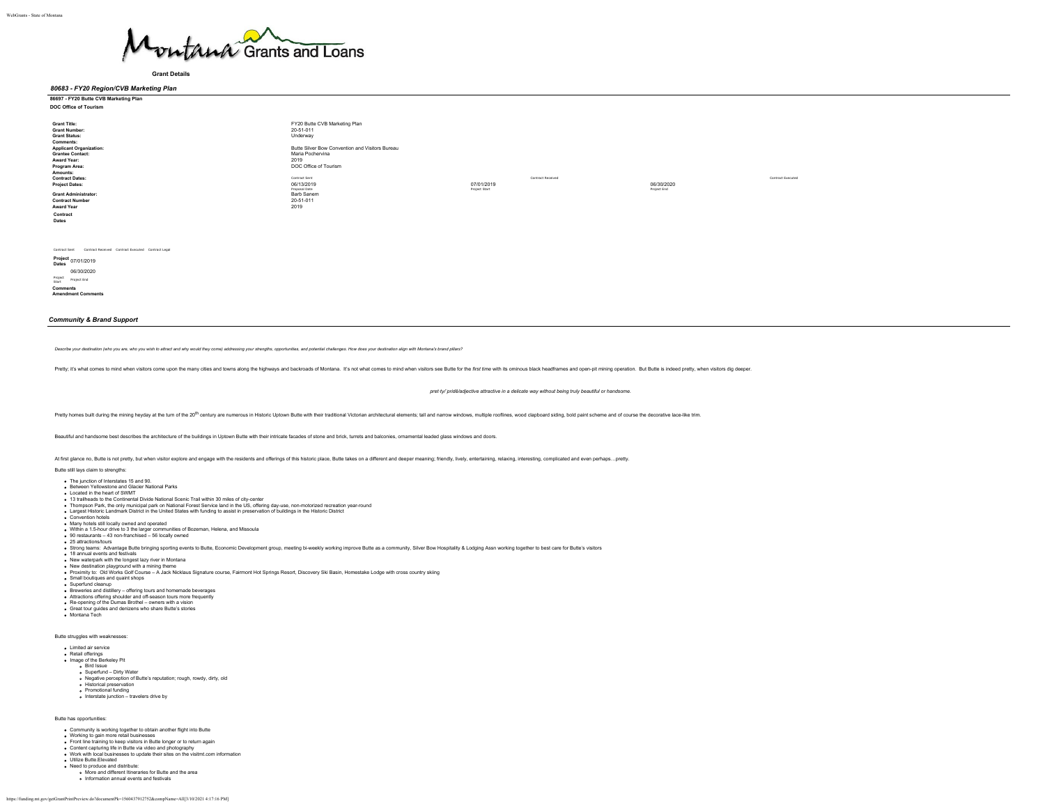

**Grant Details**

*80683 - FY20 Region/CVB Marketing Plan*

# **86697 - FY20 Butte CVB Marketing Plan**

| DOC Office of Tourism                                                                                                                                                                                                                                                                                                                           |                                                                                                                                                                                                                                                   |                                                  |            |                   |
|-------------------------------------------------------------------------------------------------------------------------------------------------------------------------------------------------------------------------------------------------------------------------------------------------------------------------------------------------|---------------------------------------------------------------------------------------------------------------------------------------------------------------------------------------------------------------------------------------------------|--------------------------------------------------|------------|-------------------|
| <b>Grant Title:</b><br><b>Grant Number:</b><br><b>Grant Status:</b><br>Comments:<br><b>Applicant Organization:</b><br><b>Grantee Contact:</b><br>Award Year:<br>Program Area:<br>Amounts:<br><b>Contract Dates:</b><br><b>Project Dates:</b><br><b>Grant Administrator:</b><br><b>Contract Number</b><br><b>Award Year</b><br>Contract<br>Dates | FY20 Butte CVB Marketing Plan<br>20-51-011<br>Underway<br>Butte Silver Bow Convention and Visitors Bureau<br>Maria Pochervina<br>2019<br>DOC Office of Tourism<br>Contract Sent<br>06/13/2019<br>Proposal Date<br>Barb Sanem<br>20-51-011<br>2019 | Contract Received<br>07/01/2019<br>Project Start | 06/30/2020 | Contract Executed |

Contract Sent Contract Received Contract Executed Contract Legal

**Project Dates** 07/01/2019 06/30/2020 Project Start Project End

**Comments Amendment Comments**

# *Community & Brand Support*

Describe your destination (who you are, who you wish to attract and why would they come) addressing your strengths, opportunities, and potential challenges. How does your destination align with Montana's brand pillars?

Pretty; it's what comes to mind when visitors come upon the many cities and towns along the highways and backroads of Montana. It's not what comes to mind when visitors see Buttle for the first time with its ominous black

*pret·ty/ˈpridē/adjective attractive in a delicate way without being truly beautiful or handsome.*

Pretty homes built during the mining heyday at the turn of the 20<sup>th</sup> century are numerous in Historic Uptown Butte with their traditional Victorian architectural elements; tall and narrow windows, multiple rooflines, wood

Beautiful and handsome best describes the architecture of the buildings in Uptown Butte with their intricate facades of stone and brick, turrets and balconies, ornamental leaded glass windows and doors.

At first glance no, Butte is not pretty, but when visitor explore and engage with the residents and offerings of this historic place, Butte takes on a different and deeper meaning; friendly, lively, entertaining, relaxing,

#### Butte still lays claim to strengths:

The junction of Interstates 15 and 90.

- Between Yellowstone and Glacier National Parks Located in the heart of SWMT
- 13 trailheads to the Continental Divide National Scenic Trail within 30 miles of city-center
- 
- Thompson Park, the only municipal park on National Forest Service land in the US, offering day-use, non-motorized recreation year-round<br>Largest Historic Landmark District in the United States with funding to assist in pres
- Convention hotels
- Many hotels still locally owned and operated
- Within a 1.5-hour drive to 3 the larger communities of Bozeman, Helena, and Missoula 90 restaurants 43 non-franchised 56 locally owned 25 attractions/tours
- 
- 
- 
- 
- Strong teams: Advantage Butte bringing sporting events to Butte, Economic Development group, meding bi-weekly working improve Butte as a community. Silver Bow Hospitality & Lodging Assn working together to best care for Bu
- 
- Breweries and distillery offering tours and homemade beverages
- 
- 
- Attractions offering shoulder and off-season tours more frequently Re-opening of the Dumas Brothel owners with a vision Great tour guides and denizens who share Butte's stories Montana Tech

Butte struggles with weaknesses:

- Limited air service Retail offerings Image of the Berkeley Pit
- **Bird Issue**
- 
- Superfund Dirty Water Negative perception of Butte's reputation; rough, rowdy, dirty, old
- Historical preservation
- Promotional funding Interstate junction travelers drive by
- 

Butte has opportunities:

- Community is working together to obtain another flight into Butte Working to gain more retail businesses
- 
- 
- Front line training to keep visitors in Butte longer or to return again<br>Content capturing life in Butte via video and photography<br>Work with local businesses to update their sites on the visitmt.com information
- 
- Utilize Butte.Elevated Need to produce and distribute: More and different Itineraries for Butte and the area
- Information annual events and festivals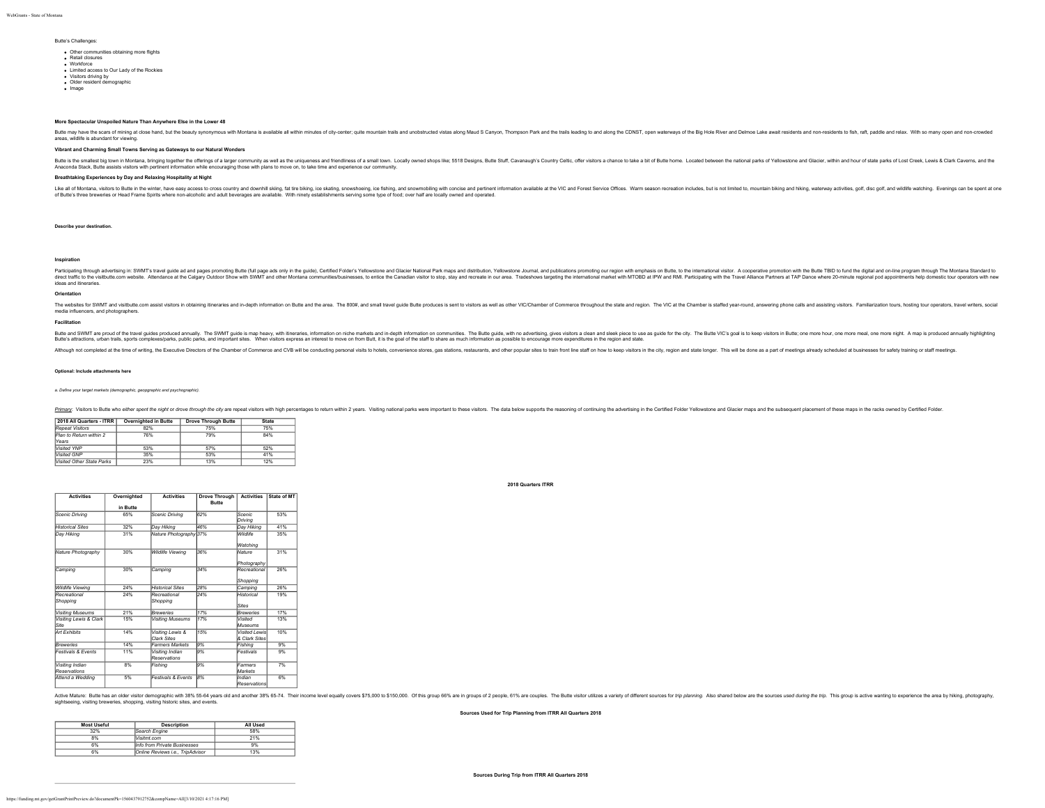#### Butte's Challenges:

- Other communities obtaining more flights **Retail closures**
- Workforce
- VOINDICE<br>• Limited access to Our Lady of the Rockies
- Visitors driving by Older resident demographic
- · Image
- 

### **More Spectacular Unspoiled Nature Than Anywhere Else in the Lower 48**

Butle may have the scars of mining at close hand, but the beauty synonymous with Montana is available all within minutes of city-center; quite mountain trails and unobstructed vistas along Maud S Canyon, Thompson Park and

#### **Vibrant and Charming Small Towns Serving as Gateways to our Natural Wonders**

Button the Manama Manama bright of the member of the member of a larger community as well as the undurences and friendliness of a small twn. Locally owned shops like; S518 Designs, Butto Stuff, Cavanaugh's County Celtic of

#### **Breathtaking Experiences by Day and Relaxing Hospitality at Night**

Like all of Mortana, visitors to the minition have assy access to cross county and downlill sting, the liking, ice stating, ico secure, and a pown being sumble. With ninely establistiments serving some type of food; over h

#### **Describe your destination.**

areas, wildlife is abundant for view

#### **Inspiration**

Particular in the Substitution in the Substitution of the distribution in the property in the guitar property in the guitar of the guitar Substitution of Distribution in the distribution in the distribution is ally and the ideas and itineraries.

#### **Orientation**

The websites for SWMT and visibutte.com assist visitors in obtaining itineraries and in-depth information on Butte and the area. The 800#, and small travel quide Butte produces is sent to visitors as well as other VIC/Cham media influencers, and photographers.

#### **Facilitation**

Butter and the transformation of the transformation and the information interaction and the state is a specifically and the state in the state in the state is and the state in the state is and the state is and the state is

**2018 Quarters ITRR**

Although not completed at the time of writing, the Executive Directors of the Chamber of Commerce and CVB will be conducting personal visits to holesi, convenience stores, gas stations, restaurants, and other popular sites

#### **Optional: Include attachments here**

#### *a. Define your target markets (demographic, geopgraphic and psychographic).*

Primary: Visitors to Butte who either spent the night or drove through the city are repeat visitors with high percentages to return within 2 years. Visiting national parks were important to these visitors. The data below s

# **2018 All Quarters - ITRR Overnighted in Butte Drove Through Butte State**

| Repeat Visitors           | 82% | 75%        | 75% |  |
|---------------------------|-----|------------|-----|--|
| Plan to Return within 2   | 76% | <b>79%</b> | 84% |  |
| Years                     |     |            |     |  |
| Visited YNP               | 53% | 57%        | 52% |  |
| Visited GNP               | 35% | 53%        | 41% |  |
| Visited Other State Parks | 23% | 13%        | 12% |  |

| <b>Activities</b>               | Overnighted<br>in Butte | <b>Activities</b>               | <b>Drove Through</b><br>Butte | <b>Activities</b>               | State of MT |
|---------------------------------|-------------------------|---------------------------------|-------------------------------|---------------------------------|-------------|
| Scenic Drivina                  | 65%                     | Scenic Drivina                  | 62%                           | Scenic<br>Drivina               | 53%         |
| <b>Historical Sites</b>         | 32%                     | Dav Hiking                      | 46%                           | Dav Hiking                      | 41%         |
| Dav Hiking                      | 31%                     | Nature Photography 37%          |                               | Wildlife<br>Watching            | 35%         |
| Nature Photography              | 30%                     | <b>Wildlife Viewing</b>         | 36%                           | <b>Nature</b><br>Photography    | 31%         |
| Camping                         | 30%                     | Camping                         | 34%                           | Recreational<br>Shopping        | 26%         |
| Wildlife Viewing                | 24%                     | <b>Historical Sites</b>         | 28%                           | Camping                         | 26%         |
| Recreational<br>Shoppina        | 24%                     | Recreational<br>Shopping        | 24%                           | Historical<br>Sites             | 19%         |
| <b>Visiting Museums</b>         | 21%                     | <b>Breweries</b>                | 17%                           | <b>Breweries</b>                | 17%         |
| Visiting Lewis & Clark<br>Site  | 15%                     | Visiting Museums                | 17%                           | Visited<br>Museums              | 13%         |
| Art Exhibits                    | 14%                     | Visiting Lewis &<br>Clark Sites | 15%                           | Visited I ewis<br>& Clark Sites | 10%         |
| <b>Breweries</b>                | 14%                     | <b>Farmers Markets</b>          | 9%                            | Fishina                         | 9%          |
| <b>Festivals &amp; Fyents</b>   | 11%                     | Visiting Indian<br>Reservations | 9%                            | Festivals                       | 9%          |
| Visiting Indian<br>Reservations | 8%                      | Fishing                         | 9%                            | Farmers<br>Markets              | 7%          |
| Attend a Wedding                | 5%                      | <b>Festivals &amp; Fyents</b>   | 8%                            | Indian<br>Reservations          | 6%          |

Active Mature: Butte has an older visitor democratic with 38% 55-64 wears old and another 38% 65-74. Their income level equally covers \$75.000 to \$150.000. Of this group 68% are in croups of 2 people. SThe Butte visitor un sightseeing, visiting breweries, shopping, visiting historic sites, and events.

#### **Sources Used for Trip Planning from ITRR All Quarters 2018**

| Most Useful | <b>Description</b>               | All Used |
|-------------|----------------------------------|----------|
| 32%         | Search Engine                    | 58%      |
| 8%          | Visitmt com                      | 21%      |
| 6%          | Info from Private Businesses     | 9%       |
| 6%          | Online Reviews i.e., TripAdvisor | 13%      |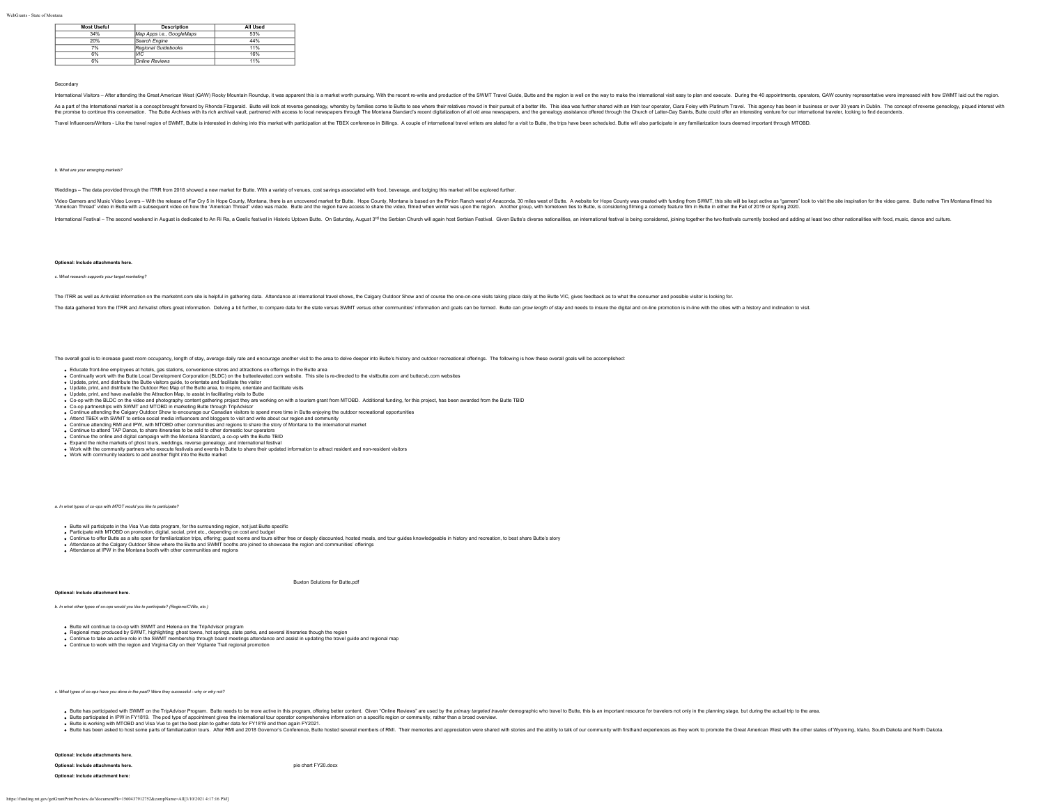| <b>Most Useful</b> | <b>Description</b>        | All Used |
|--------------------|---------------------------|----------|
| 34%                | Map Apps i.e., GoogleMaps | 53%      |
| 20%                | Search Engine             | 44%      |
| 7%                 | Regional Guidebooks       | 11%      |
| 6%                 | lvıc.                     | 16%      |
| 6%                 | Online Reviews            | 11%      |

#### Secondary

International Visitors - After attending the Great American West (GAW) Rocky Mountain Roundup, it was apparent this is a market worth pursuing. With the recent re-write and production of the SWMT Travel Guide, Butte and th

As a nart of the international market is a concent bround howed by Rhonda Elizonead Rhonda Elizonead Market with a discuss oppositor whereby by families come to Rittle to see where their relatives moved in the function can the promise to continue this conversation. The Butte Archives with its rich archive with the change of the content archives with the content of the content of the content of the content of the content of the content of the

Travel Influencers/Writers - Like the travel region of SWMT, Butte is interested in delving into this market with participation at the TBEX conference in Billings. A couple of international travel withers are slated for a

#### *b. What are your emerging markets?*

Weddings – The data provided through the ITRR from 2018 showed a new market for Butte. With a variety of venues, cost savings associated with food, beverage, and lodging this market will be explored further

Video Samers and Music Video Music Man the released Far Courty. Music Music and the relate that in the Hope Courty, Mondrana is based on the Phono American State and the editor Relate Music Music Music Music Music Music Mu

International Festival - The second weekend in August is dedicated to An Ri Ra, a Gaelic festival in Historic Uplown Butte. On Saturday, August 3<sup>rd</sup> the Serbian Church will again host Serbian Cestival C Giverse nationalit

#### **Optional: Include attachments here.**

#### *c. What research supports your target marketing?*

The ITRR as well as Arrivalist information on the marketmt.com site is helpful in gathering data. Attendance at international travel shows, the Calgary Outdoor Show and of course the one-on-one visits taking place daily at

The data gathered from the ITRR and Arrivalist offers great information. Delving a bit further, to compare data for the state versus SWMT versus other communities' information and goals can be formed. Butte can grow length

The overall goal is to increase guest room occupancy, length of stay, average daily rate and encourage another visit to the area to delve deeper into Butte's history and outdoor recreational offerings. The following is how

- Educate front-line employees at hotels, gas stations, convenience stores and attractions on offerings in the Butte area
- Continually work with the Butte Local Development Corporation (BLDC) on the butteelevated.com website. This site is re-directed to the visitbutte.com and buttecvb.com websites<br>Update, print, and distribute the Butte visito
- 
- Update, print, and have available the Attraction Map, to assist in facilitating visits to Butte
- Co-op witi the BLDC on the video and photography content gathering project they are working on with a tourism grant from MTOBD. Additional funding, for this project, has been awarded from the Butte TBID<br>Co-op partnerships
- 
- 
- Continue attending the Calgary Outdoor Show to encourage our Canadian visitors to spend more time in Butte ento<br>Attend TBEX with SWMT to entice social media influencers and bloggers to visit and write about our region and
- 
- 
- Expand the niche markets of ghost tours, weddings, reverse genealogy, and international festival
- 
- Work with the community partners who execute festivals and events in Butte to share their updated information to attract resident and non-resident visitors<br>Work with community leaders to add another flight into the Butte m

*a. In what types of co-ops with MTOT would you like to participate?*

- Butte will participate in the Visa Vue data program, for the surrounding region, not just Butte specific
- Participate with MTOBD on promotion, digital, social, print etc., depending on cost and budget<br>Continue to offer Butle sa site open for farmian and budget and budget and budget on the order of deepty discounted, hosted mea
- 
- Attendance at IPW in the Montana booth with other communities and regions

[Buxton Solutions for Butte.pdf](https://funding.mt.gov/fileDownload.jsp?filename=1559363449538_Buxton+Solutions+for+Butte.pdf)

**Optional: Include attachment here.**

*b. In what other types of co-ops would you like to participate? (Regions/CVBs, etc.)*

Butte will continue to co-op with SWMT and Helena on the TripAdvisor program<br>Regional map produced by SWMT, highlighting; ghost towns, hot springs, state parks, and several itineraries though the region<br>Continue to take an

Continue to work with the region and Virginia City on their Vigilante Trail regional promotion

*c. What types of co-ops have you done in the past? Were they successful - why or why not?*

. Butte has participated with SWMT on the TripAdvisor Program. Butte needs to be more active in this program. offering better content. Given "Online Reviews" are used by the primary targeted traveler demographic who travel

Butte participated in IPW in FY1819. The pod type of appointment gives the international tour operator comprehensive information on a specific region or community, rather than a broad overview.<br>Butte is avoing with MTOBD a

**Optional: Include attachments here.**

**Optional: Include attachment here:**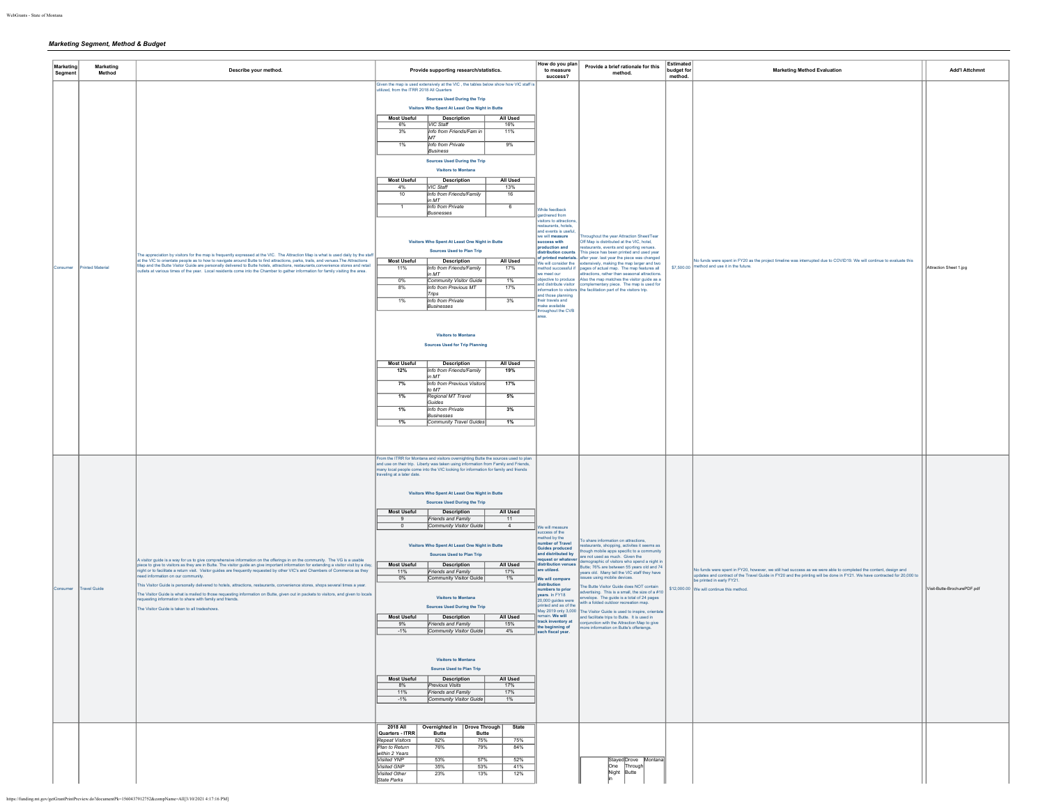# *Marketing Segment, Method & Budget*

| Marketing<br>Segment | Marketing<br>Method     | Describe your method.                                                                                                                                                                                                                                                                                                                                                                                                                                                                                                                                                                                                                                                                                                                                                                                                         | Provide supporting research/statistics.                                                                                                                                                                                                                                                                                                                                                                                                                                                                                                                                                                                                                                                                                                                                                                                                                                                                                                                                                                                                                                                                                                                                                                                                                                                                                                                                                                     | How do you plan<br>to measure<br>success?                                                                                                                                                                                                                                                                                                                                                           | Provide a brief rationale for this<br>method.                                                                                                                                                                                                                                                                                                                                                                                                                                                                                                                                                                                                                                                                     | Estimated<br>budget for<br>method. | <b>Marketing Method Evaluation</b>                                                                                                                                                                                                                                                                                        | <b>Add'l Attchmnt</b>       |
|----------------------|-------------------------|-------------------------------------------------------------------------------------------------------------------------------------------------------------------------------------------------------------------------------------------------------------------------------------------------------------------------------------------------------------------------------------------------------------------------------------------------------------------------------------------------------------------------------------------------------------------------------------------------------------------------------------------------------------------------------------------------------------------------------------------------------------------------------------------------------------------------------|-------------------------------------------------------------------------------------------------------------------------------------------------------------------------------------------------------------------------------------------------------------------------------------------------------------------------------------------------------------------------------------------------------------------------------------------------------------------------------------------------------------------------------------------------------------------------------------------------------------------------------------------------------------------------------------------------------------------------------------------------------------------------------------------------------------------------------------------------------------------------------------------------------------------------------------------------------------------------------------------------------------------------------------------------------------------------------------------------------------------------------------------------------------------------------------------------------------------------------------------------------------------------------------------------------------------------------------------------------------------------------------------------------------|-----------------------------------------------------------------------------------------------------------------------------------------------------------------------------------------------------------------------------------------------------------------------------------------------------------------------------------------------------------------------------------------------------|-------------------------------------------------------------------------------------------------------------------------------------------------------------------------------------------------------------------------------------------------------------------------------------------------------------------------------------------------------------------------------------------------------------------------------------------------------------------------------------------------------------------------------------------------------------------------------------------------------------------------------------------------------------------------------------------------------------------|------------------------------------|---------------------------------------------------------------------------------------------------------------------------------------------------------------------------------------------------------------------------------------------------------------------------------------------------------------------------|-----------------------------|
| Consumer             | <b>Printed Material</b> | The appreciation by visitors for the map is frequently expressed at the VIC. The Attraction Map is what is used daily by the staff<br>at the VIC to orientate people as to how to navigate around Butte to find attractions, parks, trails, and venues. The Attractions<br>Map and the Butte Visitor Guide are personally delivered to Butte hotels, attractions, restaurants,convenience stores and retail<br>outlets at various times of the year. Local residents come into the Chamber to gather information for family visiting the area.                                                                                                                                                                                                                                                                                | Given the map is used extensively at the VIC , the tables below show how VIC staff is<br>tilized, from the ITRR 2018 All Quarters<br><b>Sources Used During the Trip</b><br>Visitors Who Spent At Least One Night in Butte<br><b>Most Useful</b><br>Description<br>All Used<br>6%<br>VIC Staff<br>16%<br>3%<br>Info from Friends/Fam in<br>11%<br>MТ<br>1%<br>Info from Private<br>9%<br>Business<br><b>Sources Used During the Trip</b><br><b>Visitors to Montana</b><br><b>Most Useful</b><br><b>Description</b><br><b>All Used</b><br>VIC Staff<br>13%<br>4%<br>10<br>Info from Friends/Family<br>16<br>in MT<br>Info from Private<br>$\overline{1}$<br>- 6<br>Busnesses<br>Visitors Who Spent At Least One Night in Butte<br><b>Sources Used to Plan Trip</b><br>All Used<br><b>Most Useful</b><br><b>Description</b><br>Info from Friends/Family<br>17%<br>11%<br>n MT<br>$-0%$<br>1%<br>Community Visitor Guide<br>Info from Previous MT<br>17%<br>8%<br>Trips<br>1%<br>Info from Private<br>3%<br>Businesses<br><b>Visitors to Montana</b><br><b>Sources Used for Trip Planning</b><br>All Used<br><b>Most Useful</b><br><b>Description</b><br>12%<br>Info from Friends/Family<br>19%<br>n MT<br>7%<br>17%<br>Info from Previous Visitors<br>to MT<br>Regional MT Travel<br>$1\%$<br>5%<br>Guides<br>3%<br>1%<br>Info from Private<br><b>Businesses</b><br>$1\%$<br>Community Travel Guides<br>$1\%$ | hile feedback<br>ardnered from<br>.<br>visitors to attraction<br>staurants, hotels,<br>and events is useful,<br>we will measure<br>success with<br>production and<br>listribution counts<br>We will consider the<br>li lutescoua bortler<br>ve meet our<br>bjective to produce<br>and distribute visitor<br>nd those planning<br>their travels and<br>nake available<br>roughout the CVB            | troughout the year Attraction Sheet/Tear<br>Off Map is distributed at the VIC, hotel,<br>estaurants, events and sporting venues.<br>This piece has been printed and used vear<br>of printed materials. after year. last year the piece was changed<br>densively, making the map larger and two<br>pages of actual map. The map features all<br>attractions, rather than seasonal attractions.<br>Also the map matches the visitor guide as a<br>complementary piece. The map is used for<br>formation to visitors the facilitation part of the visitors trip.                                                                                                                                                     | \$7,500.00                         | Io funds were spent in FY20 as the project timeline was interrupted due to COVID19. We will continue to evaluate this<br>nethod and use it in the future.                                                                                                                                                                 | Attraction Sheet 1.jpg      |
| Consumer             | <b>Travel Guide</b>     | A visitor guide is a way for us to give comprehensive information on the offerings in on the community. The VG is a usable<br>piece to give to visitors as they are in Butte. The visitor guide an give important information for extending a visitor visit by a day.<br>night or to facilitate a return visit. Visitor guides are frequently requested by other VIC's and Chambers of Commerce as they<br>ed information on our community<br>This Visitor Guide is personally delivered to hotels, attractions, restaurants, convenience stores, shops several times a year.<br>The Visitor Guide is what is mailed to those requesting information on Butte, given out in packets to visitors, and given to locals<br>questing information to share with family and friends<br>The Visitor Guide is taken to all tradeshows | From the ITRR for Montana and visitors overnighting Butte the sources used to plan and use on their trip. Liberty was taken using information from Family and Friends,<br>many local people come into the VIC looking for information for family and friends<br>veling at a later date.<br>Visitors Who Spent At Least One Night in Butte<br><b>Sources Used During the Trip</b><br><b>Most Useful</b><br>All Used<br><b>Description</b><br>Friends and Family<br>11<br>$\circ$<br>Community Visitor Guide<br>$\sim$<br>Visitors Who Spent At Least One Night in Butte<br><b>Sources Used to Plan Trip</b><br><b>Most Useful</b><br>All Used<br><b>Description</b><br>11%<br>Friends and Family<br>17%<br>Community Visitor Guide<br>0%<br>1%<br><b>Visitors to Montana</b><br><b>Sources Used During the Trip</b><br><b>Most Useful</b><br><b>Description</b><br>All Used<br>15%<br>9%<br>Friends and Family<br>4%<br>$-1%$<br>Community Visitor Guide<br>Visitors to Montana<br><b>Source Used to Plan Trip</b><br>Most Useful<br><b>Description</b><br><b>All Used</b><br>$8\%$<br><b>Previous Visits</b><br>17%<br>11%<br>17%<br>Friends and Family<br>-1% Community Visitor Guide<br>1%                                                                                                                                                                                                                | Ve will measure<br>ccess of the<br>rethod by the<br>umber of Travel<br><b>Guides produced</b><br>and distributed by<br>equest or whateve<br>ribution venues<br>are utilzed.<br>We will compare<br>istribution<br>umbers to prio<br>vears, In FY18<br>20,000 guides were<br>inted and as of the<br>May 2019 only 3,000<br>main. We will<br>ack inventory at<br>the beginning of<br>each fiscal year. | o share information on attractions,<br>staurants, shopping, activites it seems as<br>hough mobile apps specific to a community<br>re not used as much. Given the<br>mographic of visitors who spend a night in<br>Rutte: 76% are between 55 years old and 74<br>ears old. Many tell the VIC staff they have<br>ues using mobile devices<br>he Butte Visitor Guide does NOT contain<br>vertising. This is a small, the size of a #10<br>velope. The guide is a total of 24 pages<br>with a folded outdoor recreation map<br>he Visitor Guide is used to inspire, orientate<br>and facilitate trips to Butte. It is used in<br>oniunction with the Attraction Map to give<br>ore information on Butte's offeriengs. |                                    | No funds were spent in FY20, however, we still had success as we were able to completed the content, design and<br>updates and contract of the Travel Guide in FY20 and the printing will be done in FY21. We have contracted for 20,000 to<br>.<br>e printed in early FY21.<br>\$12,000.00 We will continue this method. | Visit-Butte-BrochurePDF.pdf |
|                      |                         |                                                                                                                                                                                                                                                                                                                                                                                                                                                                                                                                                                                                                                                                                                                                                                                                                               | 2018 All   Overnighted in   Drove Through  <br>State<br>Quarters - ITRR<br><b>Butte</b><br><b>Butte</b><br>Repeat Visitors<br>82%<br>75%<br>75%<br>Plan to Return<br>76%<br>84%<br>79%<br>within 2 Years<br>Visited YNP<br>53%<br>57%<br>52%<br>Visited GNP<br>35%<br>53%<br>41%<br>Visited Other<br>23%<br>13%<br>12%<br>State Parks                                                                                                                                                                                                                                                                                                                                                                                                                                                                                                                                                                                                                                                                                                                                                                                                                                                                                                                                                                                                                                                                       |                                                                                                                                                                                                                                                                                                                                                                                                     | Stayed Drove Montana<br>One<br>Through<br>Night Butte                                                                                                                                                                                                                                                                                                                                                                                                                                                                                                                                                                                                                                                             |                                    |                                                                                                                                                                                                                                                                                                                           |                             |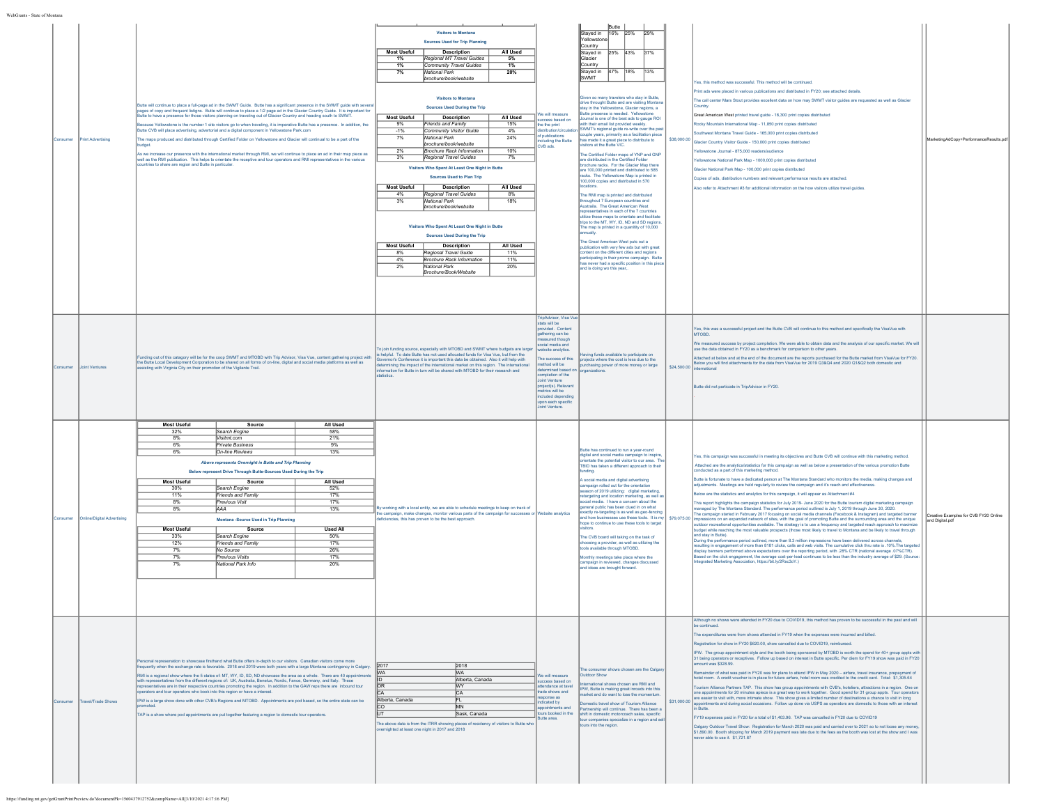| consumer | Print Advertising          | Butte will continue to place a full-page ad in the SWMT Guide. Butte has a significant presence in the SWMT guide with several<br>pages of copy and frequent listigns. Butte will continue to place a 1/2 page ad in the Glacier Country Guide. It is important for<br>Butte to have a presence for those visitors planning on traveling out of Glacier Country and heading south to SWMT.<br>Because Yellowstone is the number 1 site visitors go to when traveling, it is imperative Butte has a presence. In addition, the<br>Butte CVB will place advertising, advertorial and a digital component in Yellowstone Park.com<br>The maps produced and distributed through Certified Folder on Yellowstone and Glacier will continual to be a part of the<br>sudget.<br>As we increase our presence with the international market through RMI, we will continue to place an ad in their map piece as<br>well as the RMI publication. This helps to orientate the receptive and tour operators and RMI representatives in the various<br>ountries to share are region and Butte in particular. | <b>Visitors to Montana</b><br><b>Sources Used for Trip Planning</b><br><b>Most Useful</b><br><b>Description</b><br>All Used<br>Regional MT Travel Guides<br>1%<br>5%<br>1%<br>Community Travel Guides<br>$1\%$<br>7%<br>National Park<br>20%<br>brochure/book/website<br><b>Visitors to Montana</b><br><b>Sources Used During the Trip</b><br><b>Most Useful</b><br><b>Description</b><br>All Used<br>Friends and Family<br>15%<br>9%<br>$-1%$<br>Community Visitor Guide<br>4%<br>7%<br>National Park<br>24%<br>brochure/book/website<br>Brochure Rack Information<br>10%<br>2%<br>3%<br>Regional Travel Guides<br>7%<br>Visitors Who Spent At Least One Night in Butte<br><b>Sources Used to Plan Trip</b><br><b>Most Useful</b><br>All Used<br><b>Description</b><br>4%<br>Regional Travel Guides<br>8%<br>3%<br>National Park<br>18%<br>brochure/book/website<br>Visitors Who Spent At Least One Night in Butte<br><b>Sources Used During the Trip</b><br><b>Most Useful</b><br>All Used<br><b>Description</b><br>Regional Travel Guide<br>11%<br>8%<br>4%<br><b>Brochure Rack Information</b><br>11%<br>2%<br>National Park<br>20%<br>Brochure/Book/Website | Ve will measure<br>uccess based on<br>the the print<br>f nublications<br>cluding the Butte<br>VB ads.<br><b>FripAdvisor, Visa Vue</b>                                                                                                                                                                  | Butte<br>16% 25%<br>Stayed in<br>29%<br>rellowston<br>Country<br>Stayed in 25% 43%<br>37%<br>Glacier<br>Country<br>47% 18%<br>13%<br><b>Staved</b> in<br><b>ISWMT</b><br>Siven so many travelers who stay in Butte,<br>rive throught Butte and are visiting Montana<br>tay in the Yellowstone, Glacier regions, a<br>3utte presense is needed. Yellowstone<br>umal is one of the best ads to gauge ROI<br>rith their email list provided weekly<br>SWMT's regional guide re-write over the pas<br>uple years, primarily as a facilitation piece<br>as made it a great piece to distribute to<br>sitors at the Butte VIC.<br>le Certified Folder maps of YNP and GNP<br>ire distributed in the Certified Folder<br>rochure racks. For the Glacier Map there<br>are 100,000 printed and distributed to 585<br>acks. The Yellowstone Map is printed in<br>100,000 copies and distributed in 570<br>The RMI map is printed and distributed<br>roughout 7 European countries and<br>ustraila. The Great American West<br>presentatives in each of the 7 countries<br>lilize these maps to orientate and facilitate<br>trips to the MT, WY, ID, ND and SD regions<br>he map is printed in a quanitity of 10,000<br>nually<br>The Great American West puts out a<br>blication with very few ads but with great<br>ntent on the different cities and regions<br>varticipating in their promo campaign. Butte<br>as never had a specific position in this piec<br>nd is doing wo this year,. | \$38,000.00 | Yes, this method was successful. This method will be continued<br>rint ads were placed in various publications and distributed in FY20; see attached details.<br>The call center Mars Stout provides excellent data on how may SWMT visitor guides are requested as well as Glacier<br>ountry<br>Great American West printed travel guide - 18,300 print copies distributed<br>tocky Mountain International Map - 11,850 print copies distributed<br>outhwest Montana Travel Guide - 165,000 print copies distributed<br>acier Country Visitor Guide - 150,000 print copies distributed<br>ellowstone Journal - 875.000 readers/audience<br>ellowstone National Park Map - 1000,000 print copies distributed<br>lacier National Park Map - 100,000 print copies distributed<br>copies of ads, distribution numbers and relevant performance results are attached.<br>Nso refer to Attachment #3 for additional information on the how visitors utilize travel quides                                                                                                                                                                                                                                                                                                                                                                                                                                                                                                                                                                                                                                                                                                                                                                                                                                                                                                                                                                   | MarketingAdCopy+PerformanceResults.pd                    |
|----------|----------------------------|------------------------------------------------------------------------------------------------------------------------------------------------------------------------------------------------------------------------------------------------------------------------------------------------------------------------------------------------------------------------------------------------------------------------------------------------------------------------------------------------------------------------------------------------------------------------------------------------------------------------------------------------------------------------------------------------------------------------------------------------------------------------------------------------------------------------------------------------------------------------------------------------------------------------------------------------------------------------------------------------------------------------------------------------------------------------------------------------|------------------------------------------------------------------------------------------------------------------------------------------------------------------------------------------------------------------------------------------------------------------------------------------------------------------------------------------------------------------------------------------------------------------------------------------------------------------------------------------------------------------------------------------------------------------------------------------------------------------------------------------------------------------------------------------------------------------------------------------------------------------------------------------------------------------------------------------------------------------------------------------------------------------------------------------------------------------------------------------------------------------------------------------------------------------------------------------------------------------------------------------------------------------|--------------------------------------------------------------------------------------------------------------------------------------------------------------------------------------------------------------------------------------------------------------------------------------------------------|-------------------------------------------------------------------------------------------------------------------------------------------------------------------------------------------------------------------------------------------------------------------------------------------------------------------------------------------------------------------------------------------------------------------------------------------------------------------------------------------------------------------------------------------------------------------------------------------------------------------------------------------------------------------------------------------------------------------------------------------------------------------------------------------------------------------------------------------------------------------------------------------------------------------------------------------------------------------------------------------------------------------------------------------------------------------------------------------------------------------------------------------------------------------------------------------------------------------------------------------------------------------------------------------------------------------------------------------------------------------------------------------------------------------------------------------------------------------------------------|-------------|----------------------------------------------------------------------------------------------------------------------------------------------------------------------------------------------------------------------------------------------------------------------------------------------------------------------------------------------------------------------------------------------------------------------------------------------------------------------------------------------------------------------------------------------------------------------------------------------------------------------------------------------------------------------------------------------------------------------------------------------------------------------------------------------------------------------------------------------------------------------------------------------------------------------------------------------------------------------------------------------------------------------------------------------------------------------------------------------------------------------------------------------------------------------------------------------------------------------------------------------------------------------------------------------------------------------------------------------------------------------------------------------------------------------------------------------------------------------------------------------------------------------------------------------------------------------------------------------------------------------------------------------------------------------------------------------------------------------------------------------------------------------------------------------------------------------------------------------------------------------------------------------------------------------------------------|----------------------------------------------------------|
|          | oint Ventures              | Funding out of this catagory will be for the coop SWMT and MTOBD with Trip Advisor, Visa Vue, content gathering project with<br>the Butte Local Development Corporation to be shared on all forms of on-line, digital and social media platforms as well as<br>isting with Virginia City on their promotion of the Vigilante Trail.                                                                                                                                                                                                                                                                                                                                                                                                                                                                                                                                                                                                                                                                                                                                                            | To join funding source, especially with MTOBD and SWMT where budgets are larger<br>helpful. To date Butte has not used allocated funds for Visa Vue, but from the<br>.<br>Imor's Conference it is important this data be obtained. Also it will help with<br>ermining the impact of the international market on this region. The international<br>ormation for Butte in turn will be shared with MTOBD for their research and                                                                                                                                                                                                                                                                                                                                                                                                                                                                                                                                                                                                                                                                                                                                    | tats will be<br>vided. Content<br>jathering can be<br>sasured though<br>cial media and<br>ebsite analytics<br>he success of this<br>ed liw bortle<br>mined based<br>mpletion of the<br>Joint Venture<br>oject(s). Relevan<br>ed liw estite<br>included dependin<br>upon each specific<br>oint Venture. | ving funds available to participate on<br>ojects where the cost is less due to the<br>urchasing nower of more money or large<br>ganizations.                                                                                                                                                                                                                                                                                                                                                                                                                                                                                                                                                                                                                                                                                                                                                                                                                                                                                                                                                                                                                                                                                                                                                                                                                                                                                                                                        | \$24,500.00 | Yes, this was a successful project and the Butte CVB will continue to this method and specifically the VisaVue with<br><b>MTOBE</b><br>.<br>We measured success by project completion. We were able to obtain data and the analysis of our specific market. We will<br>use the data obtained in FY20 as a benchmark for comparison to other years.<br>tached at below and at the end of the document are the reports purchased for the Butte market from VisaVue for FY20.<br>lelow you will find attachments for the data from VisaVue for 2019 Q3&Q4 and 2020 Q1&Q2 both domestic and<br>Butte did not particiate in TripAdvisor in FY20                                                                                                                                                                                                                                                                                                                                                                                                                                                                                                                                                                                                                                                                                                                                                                                                                                                                                                                                                                                                                                                                                                                                                                                                                                                                                             |                                                          |
|          | Inline/Digital Advertising | Most Useful<br>Source<br>All Used<br>32%<br>58%<br>Search Engine<br>8%<br>Visitmt com<br>21%<br>6%<br><b>Private Business</b><br>9%<br>13%<br>6%<br>On-line Reviews<br>Above represents Overnight in Butte and Trip Planning<br>Below represent Drive Through Butte-Sources Used During the Trip<br><b>Most Useful</b><br>All Used<br>Source<br>30%<br>Search Engine<br>52%<br>17%<br>11%<br>Friends and Family<br>8%<br><b>Previous Visit</b><br>17%<br><b>AAA</b><br>8%<br>13%<br>Montana -Source Used in Trip Planning<br><b>Most Useful</b><br><b>Used All</b><br>Source<br>33%<br>Search Engine<br>50%<br>12%<br>Friends and Family<br>17%<br>7%<br>No Source<br>26%<br>7%<br>Previous Visits<br>17%<br>7%<br>National Park Info<br>20%                                                                                                                                                                                                                                                                                                                                                   | By working with a local entity, we are able to schedule meetings to keep on track of<br>the campaign, make changes, monitor various parts of the campaign for successes or Website analytics<br>Iciencies, this has proven to be the best approach.                                                                                                                                                                                                                                                                                                                                                                                                                                                                                                                                                                                                                                                                                                                                                                                                                                                                                                              |                                                                                                                                                                                                                                                                                                        | Butte has continued to run a vear-round<br>digital and social media campaign to inspire,<br>entate the potential visitor to our area. Th<br>TBID has taken a different approach to their<br><b>ndina</b><br>A social media and digital advertising<br>ampaign rolled out for the orientation<br>eason of 2019 utilizing: digital marketing,<br>targeting and location marketing, as well a<br>ocial media. I have a concern about the<br>eneral public has been clued in on what<br>exactly re-targeting is as well as geo-fencing<br>nd how businesses use these tools. It is my<br>ope to continue to use these tools to target<br>The CVB board will taking on the task of<br>hoosing a provider, as well as utilizing the<br>ools available through MTOBD.<br>fonthly meetings take place where the<br>ampaign in reviewed, changes discussed<br>nd ideas are brought forward.                                                                                                                                                                                                                                                                                                                                                                                                                                                                                                                                                                                                  | \$79,075.00 | res, this campaign was successful in meeting its objectives and Butte CVB will continue with this marketing method.<br>Attached are the analytics/statistics for this campaign as well as below a presentation of the various promotion Butte<br>nducted as a part of this marketing method<br>Butte is fortunate to have a dedicated person at The Montana Standard who monitors the media, making changes and<br>djustments. Meetings are held regularly to review the campaign and it's reach and effectiveness<br>low are the statistics and analytics for this campaign, it will appear as Attachment #4<br>his report highlights the campaign statistics for July 2019- June 2020 for the Butte tourism digital marketing campaign<br>anaged by The Montana Standard. The performance period outlined is July 1, 2019 through June 30, 2020.<br>he campaign started in February 2017 focusing on social media channels (Facebook & Instagram) and targeted banner<br>mpressions on an expanded network of sites, with the goal of promoting Butte and the surrounding area and the unique<br>ddoor recreational opportunities available. The strategy is to use a frequency and targeted reach approach to maximize<br>udget while reaching the most valuable prospects (those most likely to travel to Montana and be likely to travel through<br>and stav in Butte).<br>During the performance period outlined, more than 8.3 million impressions have been delivered across channels,<br>ulting in engagement of more than 8181 clicks, calls and web visits. The cumulative click thru rate is .10%. The targete<br>display banners performed above expectations over the reporting period, with .28% CTR (national average .07%CTR).<br>ased on the click engagement, the average cost-per-lead continues to be less than the industry average of \$29. (Source<br>tegrated Marketing Association, https://bit.ly/2Rsc3oY.) | Creative Examples for CVB FY20 Online<br>and Digital.pdf |
| onsume   | ravel/Trade Shows          | Personal represenation to showcase firsthand what Butte offers in-depth to our visitors. Canadian visitors come more<br>frequently when the exchange rate is favorable. 2018 and 2019 were both years with a large Montana contingency in Calgary.<br>RMI is a regional show where the 5 states of: MT, WY, ID, SD, ND showcase the area as a whole. There are 40 appointment<br>with representatives from the different regions of: UK, Australia, Benelux, Nordic, Fance, Germany, and Italy. These<br>resentatives are in their respective countries promoting the region. In addition to the GAW reps there are inbound tour<br>perators and tour operators who book into this region or have a interest.<br>IPW is a large show done with other CVB's Regions and MTOBD. Appointments are pod based, so the entire state can be<br>TAP is a show where pod appointments are put together featuring a region to domestic tour operators.                                                                                                                                                   | 2017<br>2018<br><b>WA</b><br><b>MA</b><br>In<br>Alberta Canada<br><b>IOR</b><br><b>MY</b><br>ICA.<br>Alberta, Canada<br><b>MN</b><br>Sask, Canada<br>The above data is from the ITRR showing places of residency of visitors to Butte who<br>vernighted at least one night in 2017 and 2018                                                                                                                                                                                                                                                                                                                                                                                                                                                                                                                                                                                                                                                                                                                                                                                                                                                                      | We will measure<br>success based on<br>endance at tave<br>rade shows and<br>sponse as<br>cated by<br>hne atnemtning<br>ours booked in the<br>utte area.                                                                                                                                                | he consumer shows chosen are the Calgary<br><b>Jutdoor Show</b><br>onal shows chosen are RMI and<br>IPW. Butte is making great inroads into this<br>arket and do want to lose the momentum<br>nestic travel show of Tourism Alliance<br>artnership will continue. There has been a<br>shift in domestic motorcoach sales, specific<br>our companies specialize in a region and se<br>tours into the region.                                                                                                                                                                                                                                                                                                                                                                                                                                                                                                                                                                                                                                                                                                                                                                                                                                                                                                                                                                                                                                                                         | \$31,000.00 | Although no shows were attended in FY20 due to COVID19, this method has proven to be successful in the past and will<br>be continue<br>The expenditures were from shows attended in FY19 when the expenses were incurred and billed.<br>tegistration for show in FY20 \$620.00, show cancelled due to COVID19, reimbursed.<br>PW. The group appointment style and the booth being sponsored by MTOBD is worth the spend for 40+ group appts with<br>31 being operators or receptives. Follow up based on interest in Butte specific. Per diem for FY19 show was paid in FY20<br>mount was \$328.99.<br>ainder of what was paid in FY20 was for plans to attend IPW in May 2020 - airfare, travel insurance, prepayment of<br>notel room. A credit voucher is in place for future airfare, hotel room was credited to the credit card. Total: \$1,305.64<br>Fourism Alliance Partners TAP. This show has group appointments with CVB's, hoteliers, attractions in a region. One on<br>one appointments for 20 minutes apiece is a great way to work together. Good spend for 31 group appts. Tour operators<br>are easier to visit with, more intimate show. This show gives a limited number of destinations a chance to visit in long<br>appointments and during social occasions. Follow up done via USPS as operators are domestic to those with an interest<br>n Butte.<br>FY19 expenses paid in FY20 for a total of \$1,403.96. TAP was cancelled in FY20 due to COVID19<br>Calgary Outdoor Travel Show: Registration for March 2020 was paid and carried over to 2021 so to not loose any mone<br>\$1,890.00. Booth shipping for March 2019 payment was late due to the fees as the booth was lost at the show and I was<br>never able to use it. \$1,721.87                                                                                                                                                                     |                                                          |

https://funding.mt.gov/getGrantPrintPreview.do?documentPk=1560437912752&compName=All[3/10/2021 4:17:16 PM]

WebGrants - State of Montana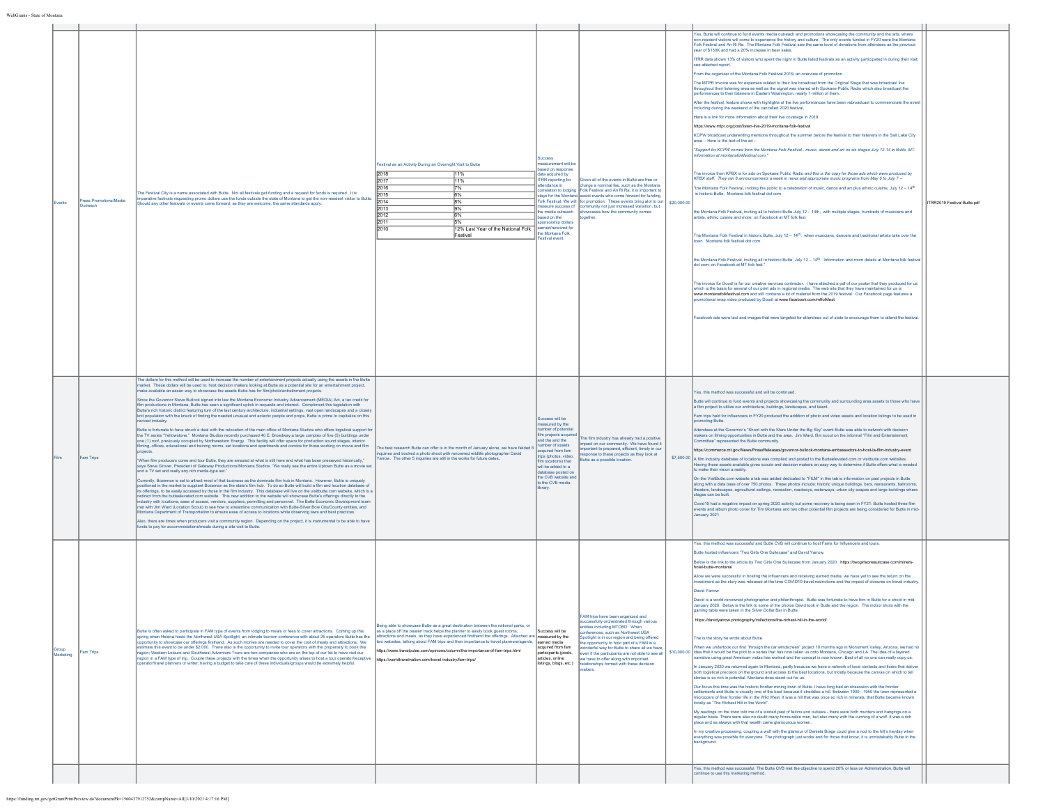| rents             | ress Promotions/Media<br>Outreach | The Festival City is a name associated with Butte. Not all festivals get funding and a request for funds is required. It is<br>parative festivals requesting promo dollars use the funds outside the state of Montana to get the non-resident visitor to Butte<br>uld any other festivals or events come forward, as they are welcome, the same standards apply.                                                                                                                                                                                                                                                                                                                                                                                                                                                                                                                                                                                                                                                                                                                                                                                                                                                                                                                                                                                                                                                                                                                                                                                                                                                                                                                                                                                                                                                                                                                                                                                                                                                                                                                                                                                                                                                                                                                                                                                                                                                                                                                                                                                                                                                                                                                                                                                                                                                                                                                                                         | Festival as an Activity During an Overnight Visit to Butte<br>2018<br>11%<br>12017<br>11%<br>2016<br>7%<br>bn15<br>6%<br>2014<br>8%<br>2013<br>9%<br>2012<br>6%<br>2011<br>5%<br>2010<br>12% Last Year of the National Folk<br>Festival                                                                                                                                                                                                                                                                       | ccess<br>surement will be<br>sed on response<br>lata acquired by<br>RR reporting for<br>endance in<br>relation to lodging<br>asure success of<br>e media outreach<br>sed on the<br>onsorship dollars<br>ned/received for<br>he Montana Folk<br>stival event.           | iven all of the events in Butte are free or<br>charge a nominal fee, such as the Montana<br>Folk Festival and An Ri Ra, it is important to<br>ays for the Montana assist events who come forward for funding<br>Folk Festival. We will for promotion. These events bring alot to ou<br>ommunity not just increased visitation, but<br>showcases how the community comes<br>ogether                                                        | \$20,000.0 | Yes, Butte will continue to fund events media outreach and promotions showcasing the community and the arts, where<br>lent visitors will come to experience the history and culture. The only events funded in FY20 were the Montana<br>Folk Festival and An Ri Ra. The Montana Folk Festival saw the same level of donations from attendees as the previous<br>vear of \$130K and had a 20% increase in beer sales.<br>ITRR data shows 13% of visitors who spent the night in Butte listed festivals as an activity participated in during their visit;<br>tioner bedoctte ees<br>From the organizer of the Montana Folk Festival 2019, an overview of promotion.<br>The MTPR invoice was for expenses related to their live broadcast from the Original Stage that was broadcast live<br>throughout their listening area as well as the signal was shared with Spokane Public Radio which also broadcast the<br>performances to their listeners in Eastern Washington, nearly 1 million of them.<br>After the festival, feature shows with highlights of the live performances have been rebroadcast to commemorate the event<br>including during the weekend of the cancelled 2020 festival.<br>ere is a link for more information about their live coverage in 2019.<br>https://www.mtpr.org/post/listen-live-2019-montana-folk-festival<br>KCPW broadcast underwriting mentions throughout the summer before the festival to their listeners in the Salt Lake City<br>area -- Here is the text of the ad --<br>"Support for KCPW comes from the Montana Folk Festival - music, dance and art on six stages July 12-14 in Butte, MT.<br>nformation at montanafolkfestival.com."<br>The invoice from KPBX is for ads on Spokane Public Radio and this is the copy for those ads which were produced by<br>KPBX staff. They ran 8 announcements a week in news and appropriate music programs from May 6 to July 7 --<br>"the Montana Folk Festival, inviting the public to a celebration of music, dance and art plus ethnic cuisine, July 12 - 14 <sup>th</sup><br>n historic Butte. Montana folk festival dot com.<br>the Montana Folk Festival, inviting all to historic Butte July 12 - 14th, with multiple stages, hundreds of musicians and<br>artists, ethnic cuisine and more; on Facebook at MT folk fest.<br>The Montana Folk Festival in historic Butte, July 12 - 14 <sup>th</sup> , when musicians, dancers and traditional artists take over the<br>town. Montana folk festival dot com<br>the Montana Folk Festival, inviting all to historic Butte, July 12 - 14th. Information and room details at Montana folk festival<br>dot com; on Facebook at MT folk fest."<br>The invoice for Doodi is for our creative services contractor. I have attached a pdf of our poster that they produced for us<br>which is the basis for several of our print ads in regional media. The web site that they have maintained for us is<br>www.montanafolkfestival.com and still contains a lot of material from the 2019 festival. Our Facebook page features a<br>motional wrap video produced by Doodl at www.facebook.com/mtfolkfest.<br>Facebook ads were text and images that were targeted for attendees out of state to encourage them to attend the festival | ITRR2019 Festival Butte.pdf |
|-------------------|-----------------------------------|--------------------------------------------------------------------------------------------------------------------------------------------------------------------------------------------------------------------------------------------------------------------------------------------------------------------------------------------------------------------------------------------------------------------------------------------------------------------------------------------------------------------------------------------------------------------------------------------------------------------------------------------------------------------------------------------------------------------------------------------------------------------------------------------------------------------------------------------------------------------------------------------------------------------------------------------------------------------------------------------------------------------------------------------------------------------------------------------------------------------------------------------------------------------------------------------------------------------------------------------------------------------------------------------------------------------------------------------------------------------------------------------------------------------------------------------------------------------------------------------------------------------------------------------------------------------------------------------------------------------------------------------------------------------------------------------------------------------------------------------------------------------------------------------------------------------------------------------------------------------------------------------------------------------------------------------------------------------------------------------------------------------------------------------------------------------------------------------------------------------------------------------------------------------------------------------------------------------------------------------------------------------------------------------------------------------------------------------------------------------------------------------------------------------------------------------------------------------------------------------------------------------------------------------------------------------------------------------------------------------------------------------------------------------------------------------------------------------------------------------------------------------------------------------------------------------------------------------------------------------------------------------------------------------------|---------------------------------------------------------------------------------------------------------------------------------------------------------------------------------------------------------------------------------------------------------------------------------------------------------------------------------------------------------------------------------------------------------------------------------------------------------------------------------------------------------------|------------------------------------------------------------------------------------------------------------------------------------------------------------------------------------------------------------------------------------------------------------------------|-------------------------------------------------------------------------------------------------------------------------------------------------------------------------------------------------------------------------------------------------------------------------------------------------------------------------------------------------------------------------------------------------------------------------------------------|------------|-----------------------------------------------------------------------------------------------------------------------------------------------------------------------------------------------------------------------------------------------------------------------------------------------------------------------------------------------------------------------------------------------------------------------------------------------------------------------------------------------------------------------------------------------------------------------------------------------------------------------------------------------------------------------------------------------------------------------------------------------------------------------------------------------------------------------------------------------------------------------------------------------------------------------------------------------------------------------------------------------------------------------------------------------------------------------------------------------------------------------------------------------------------------------------------------------------------------------------------------------------------------------------------------------------------------------------------------------------------------------------------------------------------------------------------------------------------------------------------------------------------------------------------------------------------------------------------------------------------------------------------------------------------------------------------------------------------------------------------------------------------------------------------------------------------------------------------------------------------------------------------------------------------------------------------------------------------------------------------------------------------------------------------------------------------------------------------------------------------------------------------------------------------------------------------------------------------------------------------------------------------------------------------------------------------------------------------------------------------------------------------------------------------------------------------------------------------------------------------------------------------------------------------------------------------------------------------------------------------------------------------------------------------------------------------------------------------------------------------------------------------------------------------------------------------------------------------------------------------------------------------------------------------------------------------------------------------------------------------------------------------------------------------------------------------------------------------------------------------------------------------------------------------------------------------------------------------------------------------------------------------------------------|-----------------------------|
|                   | Fam Trips                         | The dollars for this method will be used to increase the number of entertainment projects actually using the assets in the Butte<br>narket. These dollars will be used to; host decision makers looking at Butte as a potential site for an entertainment project,<br>nake available an easier way to showcase the assets Butte has for film/photo/entratinment projects<br>Since the Governor Steve Bullock signed into law the Montana Economic Industry Advancement (MEDIA) Act, a tax credit for<br>film productions in Montana, Butte has seen a significant uptick in requests and interest. Compliment this legislation with<br>Butte's rich historic district featuring turn of the last century architecture, industrial settings, vast open landscapes and a closely<br>knit population with the knack of finding the needed unusual and eclectic people and props, Butte is prime to capitalize on this<br>rived industry.<br>Butte is fortunate to have struck a deal with the relocation of the main office of Montana Studios who offers logistical support fo<br>the TV series "Yellowstone." Montana Studios recently purchased 40 E. Broadway a large complex of five (5) buildings under<br>one (1) roof, previously occupied by Northwestern Energy. This facility will offer space for production sound stages, interior<br>ning, offices, educational and training rooms, set locations and apartments and condos for those working on movie and film<br>viects.<br>When film producers come and tour Butte, they are amazed at what is still here and what has been preserved historically,"<br>says Steve Grover, President of Gateway Productions/Montana Studios, "We really see the entire Uptown Butte as a movie se<br>and a TV set and really any rich media-type set."<br>irrently, Bozeman is set to attract most of that business as the dominate film hub in Montana. However, Butte is uniquely<br>cositioned in the market to supplant Bozeman as the state's film hub. To do so Butte will build a film and location database of<br>its offerings, to be easily accessed by those in the film industry. This database will live on the visitbutte.com website, which is a<br>firect from the butteelevated.com website. This new addition to the website will showcase Butte's offerings directly to the<br>industry with locations, ease of access, vendors, suppliers, permitting and personnel. The Butte Economic Develo<br>net with Jim Ward (Location Scout) to see how to streamline communication with Butte-Silver Bow City/County entities, and<br>tana Department of Transportation to ensure ease of access to locations while observing laws and best practices<br>Jso. there are times when producers visit a community region. Depending on the project, it is instrumental to be able to have<br>funds to pay for accommodations/meals during a site visit to Butte. | The best research Butte can offer is in the month of January alone, we have fielded 6<br>quiries and booked a photo shoot with renowned wildlife photographer David<br>Yarrow. The other 5 inquiries are still in the works for future dates.                                                                                                                                                                                                                                                                 | ccess will be<br>easured by the<br>mber of potentia<br>Im projects acquired<br>and the and the<br>imber of assets<br>couired from fam<br>rips (photos, video,<br>n locations) that<br>will be added to a<br>tabase posted or<br>the CVB website and<br>o the CVB media | he film industry has already had a positive<br>npact on our community. We have found it<br>portant to prepared, efficient, timely in our<br>ponse to these projects as they look at<br>utte as a possible location                                                                                                                                                                                                                        |            | Yes, this method was successful and will be continued.<br>Butte will continue to fund events and projects showcasing the community and surrounding area assets to those who have<br>a film project to utilize our architecture, buildings, landscapes, and talent.<br>Fam trips held for influencers in FY20 produced the addition of photo and video assets and location listings to be used in<br>moting Butte.<br>Attendees at the Governor's "Shoot with the Stars Under the Big Sky" event Butte was able to network with decision<br>makers on filming opportunities in Butte and the area. Jim Ward, film scout on the informal "Film and Entertainment"<br>sented the Butte comm<br>mmittee" ren<br>https://commerce.mt.gov/News/PressReleases/governor-bullock-montana-ambassadors-to-host-la-film-industry-event<br>\$7,500.00 A film industry database of locations was complied and posted to the Butteelevated.com or visitbutte.com website<br>Having these assets available gives scouts and decision makers an easy way to determine if Butte offers what is needed<br>to make their vision a reality.<br>On the VisitButte.com website a tab was added dedicated to "FILM" in this tab is information on past projects in Butte<br>along with a data base of over 750 photos. These photos include: historic unique buildings, bars, restaurants, ballrooms,<br>theaters, landscapes, agricultural settings, recreation, roadways, waterways, urban city scapes and large buildings where<br>stages can be built.<br>Covid19 had a negative impact on spring 2020 activity but some recovery is being seen in FY21. Butte hosted three film<br>events and album photo cover for Tim Montana and two other potential film projects are being considered for Butte in mid-<br>January 2021.                                                                                                                                                                                                                                                                                                                                                                                                                                                                                                                                                                                                                                                                                                                                                                                                                                                                                                                                                                                                                                                                                                                                                                                                                                                                                                                                                                                                                                                                  |                             |
| Group<br>arketing | Fam Trips                         | Butte is often asked to participate in FAM type of events from lodging to meals or fees to cover attractions. Coming up this<br>spring when Helena hosts the Northwest USA Spotlight, an intimate tourism conference with about 25 operators Butte has the<br>pportunity to showcase our offerings firsthand. As such monies are needed to cover the cost of meals and attractions. We<br>timate this event to be under \$2.000. There also is the opportunity to invite tour operators with the propensity to book this<br>egion; Western Leisure and Southwest Adventure Tours are two companies who are on the top of our list to have visit our<br>gion in a FAM type of trip. Couple these projects with the times when the opportunity arises to host a tour operator/receptive<br>erator/travel planners or writer; having a budget to take care of these individuals/groups would be extremely helpful.                                                                                                                                                                                                                                                                                                                                                                                                                                                                                                                                                                                                                                                                                                                                                                                                                                                                                                                                                                                                                                                                                                                                                                                                                                                                                                                                                                                                                                                                                                                                                                                                                                                                                                                                                                                                                                                                                                                                                                                                          | eing able to showcase Butte as a great destination between the national parks, or<br>as a place off the beaten track helps the planner to easily book guest rooms,<br>attractions and meals, as they have experienced firsthand the offerings. Attached are measured by the<br>wo websites, talking about FAM trips and their importance to travel planners/agents.<br>tps://www.travelpulse.com/opinions/column/the-importance-of-fam-trips.html<br>https://worldtravelnation.com/travel-industry/fam-trips/ | Success will be<br>learned media<br>acquired from fam<br>articipants (posts,<br>articles, online<br>listings, blogs, etc.)                                                                                                                                             | FAM trips have been organized and<br>ccessfully orchestrated through various<br>tities including MTOBD. When<br>inferences, such as Northwest USA<br>potlight is in our region and being offered<br>e opportunity to host part of a FAM is a<br>nderful way for Butte to share all we have<br>ven if the participants are not able to see al<br>e have to offer along with important<br>elationships formed with these decision<br>akers. |            | Yes, this method was successful and Butte CVB will continue to host Fams for Influencers and tours.<br>Butte hosted influencers "Two Girls One Suitecase" and David Yarrow.<br>Below is the link to the article by Two Girls One Suitecase from January 2020. https://twogirlsonesuitcase.com/miners-<br>hotel-butte-montana<br>Allow we were successful in hosting the influencers and receiving earned media, we have vet to see the return on the<br>restment as the story was released at the time COVID19 travel restrictions and the impact of closures on travel industry<br><b>David Yarrov</b><br>David is a world-renowned photographer and philanthropist. Butte was fortunate to have him in Butte for a shoot in mid-<br>January 2020. Below is the link to some of the photos David took in Butte and the region. The indoor shots with the<br>https://davidyarrow.photography/collections/the-richest-hill-in-the-world/<br>The is the story he wrote about Butte.<br>hen we undertook our first "through the car windscreen" project 18 months ago in Monument Valley, Arizona, we had no<br>\$10,000.00 dea that it would be the pilot to a series that has now taken us onto Montana, Chicago and LA. The idea of a layered<br>arrative using great American vistas has worked and the concept is now known. Best of all no one can really copy us.<br>January 2020 we returned again to Montana, partly because we have a network of local contacts and fixers that deliver<br>both logistical precision on the ground and access to the best locations, but mostly because the canvas on which to tell<br>stories is so rich in potential. Montana does stand out for us.<br>Our focus this time was the historic frontier mining town of Butte. I have long had an obsession with the frontier<br>settlements and Butte is visually one of the best because it straddles a hill. Between 1900 - 1950 the town represented a<br>nicrocosm of final frontier life in the Wild West. It was a hill that was once so rich in minerals, that Butte became known<br>locally as "The Richest Hill in the World"<br>Ay readings on the town told me of a storied past of felons and outlaws - there were both murders and hangings on a<br>regular basis. There were also no doubt many honourable men, but also many with the cunning of a wolf. It was a rich<br>place and as always with that wealth came glamourous women.<br>In my creative processing, coupling a wolf with the glamour of Daniela Braga could give a nod to the hill's heyday when<br>everything was possible for everyone. The photograph just works and for those that know, it is unmistakably Butte in the<br>background.<br>Yes, this method was successful. The Butte CVB met the objective to spend 20% or less on Administration. Butte will                                                                                                                                                                                                                                                                                                                                                                                                                                    |                             |
|                   |                                   |                                                                                                                                                                                                                                                                                                                                                                                                                                                                                                                                                                                                                                                                                                                                                                                                                                                                                                                                                                                                                                                                                                                                                                                                                                                                                                                                                                                                                                                                                                                                                                                                                                                                                                                                                                                                                                                                                                                                                                                                                                                                                                                                                                                                                                                                                                                                                                                                                                                                                                                                                                                                                                                                                                                                                                                                                                                                                                                          |                                                                                                                                                                                                                                                                                                                                                                                                                                                                                                               |                                                                                                                                                                                                                                                                        |                                                                                                                                                                                                                                                                                                                                                                                                                                           |            | ontinue to use this marketing method                                                                                                                                                                                                                                                                                                                                                                                                                                                                                                                                                                                                                                                                                                                                                                                                                                                                                                                                                                                                                                                                                                                                                                                                                                                                                                                                                                                                                                                                                                                                                                                                                                                                                                                                                                                                                                                                                                                                                                                                                                                                                                                                                                                                                                                                                                                                                                                                                                                                                                                                                                                                                                                                                                                                                                                                                                                                                                                                                                                                                                                                                                                                                                                                                                        |                             |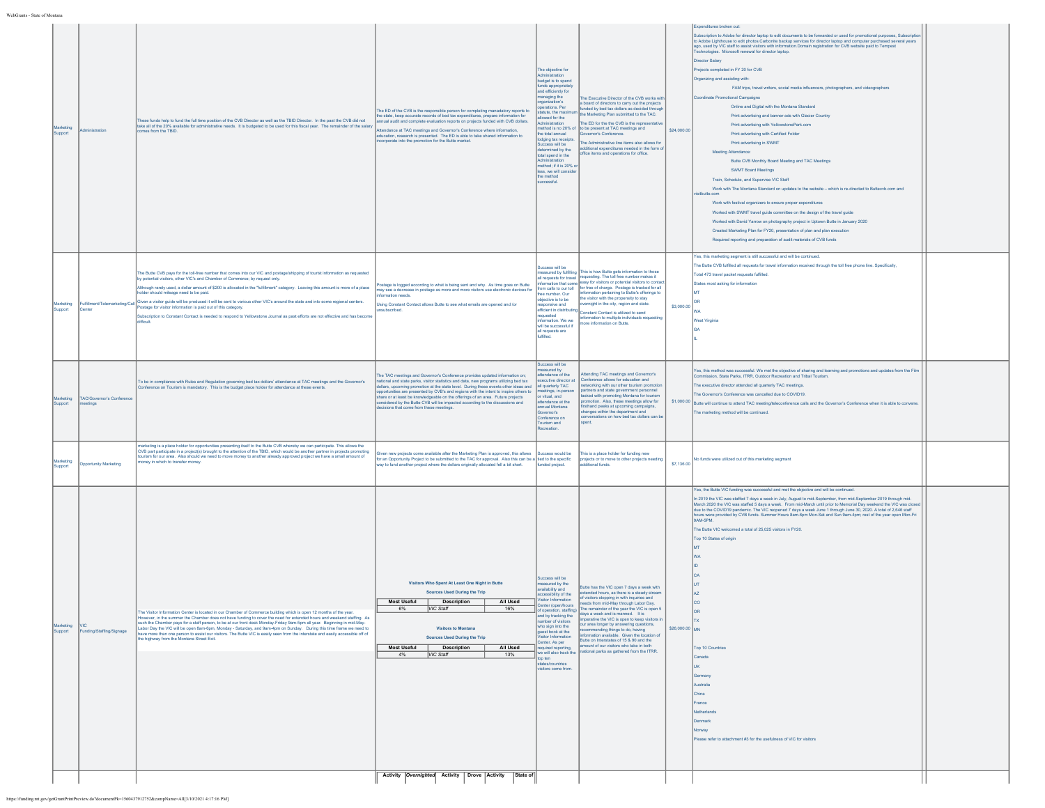| WebGrants - State of Montana |                             |                                        |                                                                                                                                                                                                                                                                                                                                                                                                                                                                                                                                                                                                                                                                                                                                        |                                                                                                                                                                                                                                                                                                                                                                                                                                                                                                                                                           |                                                                                                                                                                                                                                                                                                                                                                                  |                                                                                                                                                                                                                                                                                                                                                                                                                                                                                                                                                                           |                |                                                                                                                                                                                                                                                                                                                                                                                                                                                                                                                                                                                                                                                                                                                                                                                                                                                                                                                                                                                                                                                                                                                                                                                                                                                                                                                                                                                                                                                                                                                                                                    |
|------------------------------|-----------------------------|----------------------------------------|----------------------------------------------------------------------------------------------------------------------------------------------------------------------------------------------------------------------------------------------------------------------------------------------------------------------------------------------------------------------------------------------------------------------------------------------------------------------------------------------------------------------------------------------------------------------------------------------------------------------------------------------------------------------------------------------------------------------------------------|-----------------------------------------------------------------------------------------------------------------------------------------------------------------------------------------------------------------------------------------------------------------------------------------------------------------------------------------------------------------------------------------------------------------------------------------------------------------------------------------------------------------------------------------------------------|----------------------------------------------------------------------------------------------------------------------------------------------------------------------------------------------------------------------------------------------------------------------------------------------------------------------------------------------------------------------------------|---------------------------------------------------------------------------------------------------------------------------------------------------------------------------------------------------------------------------------------------------------------------------------------------------------------------------------------------------------------------------------------------------------------------------------------------------------------------------------------------------------------------------------------------------------------------------|----------------|--------------------------------------------------------------------------------------------------------------------------------------------------------------------------------------------------------------------------------------------------------------------------------------------------------------------------------------------------------------------------------------------------------------------------------------------------------------------------------------------------------------------------------------------------------------------------------------------------------------------------------------------------------------------------------------------------------------------------------------------------------------------------------------------------------------------------------------------------------------------------------------------------------------------------------------------------------------------------------------------------------------------------------------------------------------------------------------------------------------------------------------------------------------------------------------------------------------------------------------------------------------------------------------------------------------------------------------------------------------------------------------------------------------------------------------------------------------------------------------------------------------------------------------------------------------------|
|                              | rketing<br>Support          |                                        | hese funds help to fund the full time position of the CVB Director as well as the TBID Director. In the past the CVB did not<br>take all of the 20% available for administrative needs. It is budgeted to be used for this fiscal year. The remainder of the salary<br>mes from the TBID                                                                                                                                                                                                                                                                                                                                                                                                                                               | The ED of the CVB is the responsible person for completing manadatory reports to<br>the state, keep accurate records of bed tax expenditures, prepare information for<br>nual audit and complete evaluation reports on projects funded with CVB dollars.<br>ndance at TAC meetings and Governor's Conference where information,<br>education, research is presented. The ED is able to take shared information to<br>incorporate into the promotion for the Butte market.                                                                                 | The objective for<br>ministration<br>udget is to spend<br>nds appropriate<br>nd efficiently for<br>anaging the<br>anization's<br>rations, Per<br>atute, the maxin<br>wed for the<br>ethod is no 20% of<br>e total annual<br>dging tax receipts.<br>ccess will be<br>lermined by the<br>tal spend in the<br>ethod; if it is 20% o<br>ss, we will cons<br>the method<br>iccessful. | The Executive Director of the CVB works with<br>board of directors to carry out the projects<br>unded by bed tax dollars as decided throug<br>e Marketing Plan submitted to the TAC.<br>he ED for the the CVB is the repre<br>to be present at TAC meetings and<br>vernor's Conference<br>e Administrative line items also allows for<br>ditional expenditures needed in the form of<br>fice items and operations for office.                                                                                                                                             | \$24,000.00    | enditures broken out:<br>abscription to Adobe for director laptop to edit documents to be forwarded or used for promotional purposes, Subscriptio<br>to Adobe Lighthouse to edit photos.Carbonite backup services for director laptop and computer purchased several years<br>ago, used by VIC staff to assist visitors with information.Domain registration for CVB website paid to Tempest<br>hnologies. Microsoft renewal for director laptop.<br>Director Salary<br>Projects completed in FY 20 for CVB<br>Organizing and assisting with<br>FAM trips, travel writers, social media influencers, photographers, and videographers<br>oordinate Promotional Campaigns<br>Online and Digital with the Montana Standard<br>Print advertising and banner ads with Glacier Country<br>Print advertising with YellowstonePark.com<br>Print advertising with Certified Folder<br>Print advertising in SWMT<br>Meeting Attendance:<br>Butte CVB Monthly Board Meeting and TAC Meetings<br><b>SWMT Board Meetings</b><br>Train, Schedule, and Supervise VIC Staff<br>Work with The Montana Standard on updates to the website - which is re-directed to Buttecvb.com and<br>tbutte.com<br>Work with festival organizers to ensure proper expenditures<br>Worked with SWMT travel guide committee on the design of the travel guide<br>Worked with David Yarrow on photography project in Uptown Butte in January 2020<br>Created Marketing Plan for FY20, presentation of plan and plan execution<br>Required reporting and preparation of audit materials of CVB funds |
|                              | larketing<br><b>Support</b> | ulfillment/Telemarketing/Call<br>Sente | The Butte CVB pays for the toll-free number that comes into our VIC and postage/shipping of tourist information as requested<br>y potential visitors, other VIC's and Chamber of Commerce; by request only.<br>though rarely used, a dollar amount of \$200 is allocated in the "fulfillment" catagory. Leaving this amount is more of a place<br>tolder should mileage need to be paid.<br>Given a visitor guide will be produced it will be sent to various other VIC's around the state and into some regional centers.<br>ostage for visitor information is paid out of this category.<br>ubscription to Constant Contact is needed to respond to Yellowstone Journal as past efforts are not effective and has become<br>fficult. | stage is logged according to what is being sent and why. As time goes on Butte<br>nay see a decrease in postage as more and more visitors use electronic devices for<br>nation needs<br>Jsing Constant Contact allows Butte to see what emails are opened and /or<br>subscribed.                                                                                                                                                                                                                                                                          | ccess will be<br>sasured by fulfilling<br>requests for travel<br>om calls to our toll<br>e number. Our<br>jective is to be<br>ponsive and<br>ficient in distributin<br>quested<br>formation. We we<br>will be successful if<br>all requests are<br>ifilled.                                                                                                                      | his is how Butte gets information to those<br>questing. The toll free number makes it<br>ormation that come easy for visitors or potential visitors to contar<br>r free of charge. Postage is tracked for all<br>formation pertaining to Butte's offerings to<br>he visitor with the propensity to stay<br>ernight in the city, region and state.<br>onstant Contact is utilized to send<br>formation to multiple individuals requesting<br>ore information on Butte.                                                                                                     | \$3,000.00     | res, this marketing segment is still successful and will be continued.<br>e Butte CVB fulfilled all requests for travel information received through the toll free phone line. Specifically,<br>otal 473 travel packet requests fulfilled.<br>tates most asking for information<br>est Virginia                                                                                                                                                                                                                                                                                                                                                                                                                                                                                                                                                                                                                                                                                                                                                                                                                                                                                                                                                                                                                                                                                                                                                                                                                                                                    |
|                              | arketing<br>support         | TAC/Governor's Conferent<br>eetings    | To be in compliance with Rules and Regulation governing bed tax dollars' attendance at TAC meetings and the Governor's<br>conference on Tourism is mandatory. This is the budget place holder for attendance at these events                                                                                                                                                                                                                                                                                                                                                                                                                                                                                                           | The TAC meetings and Governor's Conference provides updated information on;<br>tional and state parks, visitor statistics and data, new programs utilizing bed tax<br>dollars, upcoming promotion at the state level. During these events other ideas and<br>opportunities are presented by CVB's and regions with the intent to inspire others to share or at least be knowledgeable on the offerings of an area. Future projects<br>sidered by the Butte CVB will be impacted according to the discussions and<br>cisions that come from these meetings | uccess will be<br>asured by<br>endance of the<br>ecutive director a<br>all quarterly TAC<br>etings, in-perso<br>vitual, and<br>tendance at the<br><b>India</b> Montana<br>ernor's<br>onference on<br>ourism and<br>creation.                                                                                                                                                     | ttending TAC meetings and Governor's<br>onference allows for education and<br>tworking with our other tourism promotic<br>artners and state government personnel<br>isked with promoting Montana for tourism<br>motion. Also, these meetings allow for<br>rsthand peeks at upcoming campaigns,<br>hanges within the department and<br>inversations on how bed tax dollars can b<br>pent                                                                                                                                                                                   | \$1,000.00     | es, this method was successful. We met the objective of sharing and learning and promotions and updates from the Film<br>mission, State Parks, ITRR, Outdoor Recreation and Tribal Tourism<br>e executive director attended all quarterly TAC meetings.<br>le Governor's Conference was cancelled due to COVID19.<br>Butte will continue to attend TAC meeting/teleconference calls and the Governor's Conference when it is able to convene<br>le marketing method will be continued.                                                                                                                                                                                                                                                                                                                                                                                                                                                                                                                                                                                                                                                                                                                                                                                                                                                                                                                                                                                                                                                                             |
|                              | larketing<br>Support        | <b>Opportunity Marketing</b>           | arketing is a place holder for opportunities presenting itself to the Butte CVB whereby we can participate. This allows the<br>CVB part participate in a project(s) brought to the attention of the TBID, which would be another partner in projects promoting<br>ourism for our area. Also should we need to move money to another already approved project we have a small amount of<br>oney in which to transfer money.                                                                                                                                                                                                                                                                                                             | ven new projects come available after the Marketing Plan is approved, this allows<br>for an Opportunity Project to be submitted to the TAC for approval. Also this can be a tied to the specific<br>way to fund another project where the dollars originally allocated fell a bit short. funded project.                                                                                                                                                                                                                                                  | ccess would be                                                                                                                                                                                                                                                                                                                                                                   | tis is a place holder for funding new<br>jects or to move to other projects needi<br>tional funds                                                                                                                                                                                                                                                                                                                                                                                                                                                                         | \$7,136.00     | funds were utilized out of this marketing segmant                                                                                                                                                                                                                                                                                                                                                                                                                                                                                                                                                                                                                                                                                                                                                                                                                                                                                                                                                                                                                                                                                                                                                                                                                                                                                                                                                                                                                                                                                                                  |
|                              | Support                     | Funding/Staffing/Signage               | The Visitor Information Center is located in our Chamber of Commerce building which is open 12 months of the year.<br>lowever, in the summer the Chamber does not have funding to cover the need for extended hours and weekend staffing. As<br>such the Chamber pays for a staff person, to be at our front desk Monday-Friday 9am-5pm all year. Beginning in mid-May-<br>Labor Day the VIC will be open 8am-6pm, Monday - Saturday, and 9am-4pm on Sunday. During this time frame we need to<br>have more than one person to assist our visitors. The Butte VIC is easily seen from the interstate and easily accessible off of<br>the highway from the Montana Street Exit.                                                         | Visitors Who Spent At Least One Night in Butte<br><b>Sources Used During the Trip</b><br><b>Description</b><br>VIC Staff<br>6%<br>16%<br>Visitors to Montana<br><b>Sources Used During the Trip</b><br>Most Useful   Description<br><b>All Used</b><br>VIC Staff<br>13%<br>4%                                                                                                                                                                                                                                                                             | ccess will be<br>easured by the<br>vailability and<br>essibility of the<br>isitor Information<br>Center (open/hours<br>of operation, staffing)<br>and by tracking the<br>umber of visitors<br>who sign into the<br>quest book at the<br>isitor Information<br>Senter. As per<br>quired reporting,<br>e will also track the<br>op ten<br>es/countries<br>isitors come from        | Butte has the VIC open 7 days a week with<br>xtended hours, as there is a steady stream<br>of visitors stopping in with inquiries and<br>eeds from mid-May through Labor Day<br>The remainder of the year the VIC is open 5<br>days a week and is manned. It is<br>inerative the VIC is onen to keen visitors in<br>ur area longer by answering questions,<br>nmending things to do, having<br>formation available Given the location of<br>lutte on Interstates of 15 & 90 and the<br>nount of our visitors who take in both<br>ational parks as gathered from the ITRR. | \$26,000.00 MN | res, the Butte VIC funding was successful and met the objective and will be continued.<br>n 2019 the VIC was staffed 7 days a week in July, August to mid-September, from mid-September 2019 through mid-<br>March 2020 the VIC was staffed 5 days a week. From mid-March until prior to Memorial Day weekend the VIC was close<br>due to the COVID19 pandemic. The VIC reopened 7 days a week June 1 through June 30, 2020. A total of 2,646 staff<br>ours were provided by CVB funds. Summer Hours 8am-6pm Mon-Sat and Sun 9am-4pm; rest of the year open Mon-Fri<br>BAM-5PM.<br>The Butte VIC welcomed a total of 25,025 visitors in FY20.<br>Top 10 States of origin<br><b>Top 10 Countries</b><br>cbene3<br>man<br>ustralia<br>China<br>rance<br>etherlands<br>mari<br>lease refer to attachment #3 for the usefulness of VIC for visitors                                                                                                                                                                                                                                                                                                                                                                                                                                                                                                                                                                                                                                                                                                                    |
|                              |                             |                                        |                                                                                                                                                                                                                                                                                                                                                                                                                                                                                                                                                                                                                                                                                                                                        | Activity Overnighted Activity Drove Activity State of                                                                                                                                                                                                                                                                                                                                                                                                                                                                                                     |                                                                                                                                                                                                                                                                                                                                                                                  |                                                                                                                                                                                                                                                                                                                                                                                                                                                                                                                                                                           |                |                                                                                                                                                                                                                                                                                                                                                                                                                                                                                                                                                                                                                                                                                                                                                                                                                                                                                                                                                                                                                                                                                                                                                                                                                                                                                                                                                                                                                                                                                                                                                                    |

https://funding.mt.gov/getGrantPrintPreview.do?documentPk=1560437912752&compName=All[3/10/2021 4:17:16 PM]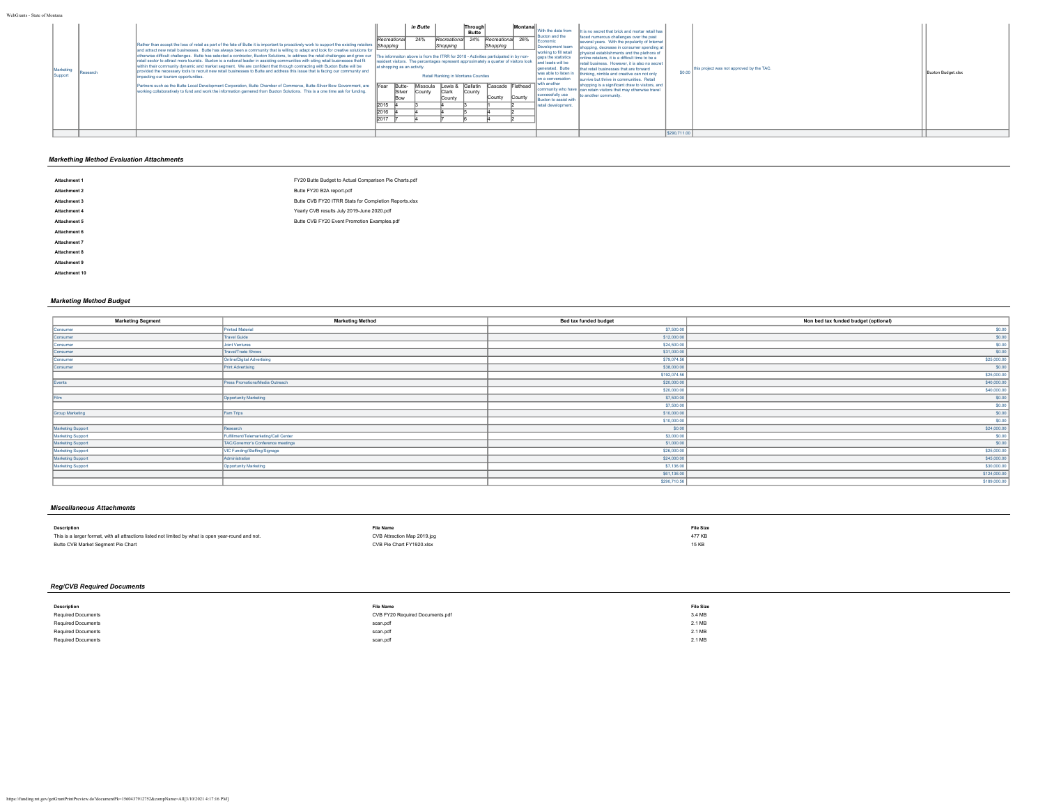| WebGrants - State of Montana                                                                                                                                                                                                                                                                                                                                                                                                                                                                                                                                                                                                                                                                                                                                                                                                                                                                                                                                                                                                                                                                                                                |                                                                                                                                                                                                                                                                                                                                                                                                                                                                                                                                                                          |                                                                                                                                                                                                                                                                                                                                                                                                                                                                                                                                                                                                                                                                                                                                                                                                                                                                                                                                                                                                                 |                    |
|---------------------------------------------------------------------------------------------------------------------------------------------------------------------------------------------------------------------------------------------------------------------------------------------------------------------------------------------------------------------------------------------------------------------------------------------------------------------------------------------------------------------------------------------------------------------------------------------------------------------------------------------------------------------------------------------------------------------------------------------------------------------------------------------------------------------------------------------------------------------------------------------------------------------------------------------------------------------------------------------------------------------------------------------------------------------------------------------------------------------------------------------|--------------------------------------------------------------------------------------------------------------------------------------------------------------------------------------------------------------------------------------------------------------------------------------------------------------------------------------------------------------------------------------------------------------------------------------------------------------------------------------------------------------------------------------------------------------------------|-----------------------------------------------------------------------------------------------------------------------------------------------------------------------------------------------------------------------------------------------------------------------------------------------------------------------------------------------------------------------------------------------------------------------------------------------------------------------------------------------------------------------------------------------------------------------------------------------------------------------------------------------------------------------------------------------------------------------------------------------------------------------------------------------------------------------------------------------------------------------------------------------------------------------------------------------------------------------------------------------------------------|--------------------|
| Rather than accept the loss of retail as part of the fate of Butte it is important to proactively work to support the existing retailers [Shopping]<br>and attract new retail businesses. Butte has always been a community that is willing to adapt and look for creative solutions for<br>otherwise difficult challenges. Butte has selected a contractor, Buxton Solutions, to address the retail challenges and grow our<br>retail sector to attract more tourists. Buxton is a national leader in assisting communities with siting retail businesses that fit<br>within their community dynamic and market segment. We are confident that through contracting with Buxton Butte will be<br>provided the necessary tools to recruit new retail businesses to Butte and address this issue that is facing our community and<br>Researd<br>impacting our tourism opportunities.<br>Partners such as the Butte Local Development Corporation, Butte Chamber of Commerce, Butte-Silver Bow Government, are<br>working collaboratively to fund and work the information garnered from Buxton Solutions. This is a one time ask for funding. | Montana<br>in Butte<br>Through<br><b>Butte</b><br>24% Recreational 26%<br>24%<br>Recreational<br>Recreational<br>Shopping<br>Shopping<br>The informalton above is from the ITRR for 2018 - Activities participated in by non-<br>resident visitors. The percentages represent approximately a quarter of visitors look<br>at shopping as an activity.<br>Retail Ranking in Montana Counties<br>Lewis & Gallatin Cascade Flathead<br>Butte-<br><b>Near</b><br>Missoula<br>Silver<br>County<br>County<br><b>Clark</b><br>County<br>County<br>Bow<br>County<br>2016<br>2017 | With the data from<br>It is no secret that brick and mortar retail has<br>-IIBuxton and the<br>faced numerous challenges over the past<br><b>II</b> Economic<br>several years. With the popularity of Internet<br>Development team<br>shopping, decrease in consumer spending at<br>working to fill retail<br>physical establishments and the plethora of<br>gaps the statistics<br>online retailers, it is a difficult time to be a<br>and leads will be<br>retail business. However, it is also no secret<br>this project was not approved by the TAC.<br>generated. Butte<br>that retail businesses that are forward<br>\$0.0<br>was able to listen in<br>thinking, nimble and creative can not only<br>on a conversation<br>survive but thrive in communities. Retail<br>I with another<br>shopping is a significant draw to visitors, and<br>community who have can retain visitors that may otherwise travel<br>successfully use<br>to another community.<br>Buxton to assist with<br>retail development. | Buxton Budget.xlsx |
|                                                                                                                                                                                                                                                                                                                                                                                                                                                                                                                                                                                                                                                                                                                                                                                                                                                                                                                                                                                                                                                                                                                                             |                                                                                                                                                                                                                                                                                                                                                                                                                                                                                                                                                                          | \$290,711.00                                                                                                                                                                                                                                                                                                                                                                                                                                                                                                                                                                                                                                                                                                                                                                                                                                                                                                                                                                                                    |                    |

# *Markething Method Evaluation Attachments*

| <b>Attachment 1</b> | FY20 Butte Budget to Actual Comparison Pie Charts.pdf |
|---------------------|-------------------------------------------------------|
| Attachment 2        | Butte FY20 B2A report.pdf                             |
| Attachment 3        | Butte CVB FY20 ITRR Stats for Completion Reports.xlsx |
| Attachment 4        | Yearly CVB results July 2019-June 2020.pdf            |
| Attachment 5        | Butte CVB FY20 Event Promotion Examples.pdf           |
| Attachment 6        |                                                       |
| Attachment 7        |                                                       |
| <b>Attachment 8</b> |                                                       |
| Attachment 9        |                                                       |

# *Marketing Method Budget*

**Attachment 10**

| <b>Marketing Segment</b> | <b>Marketing Method</b>               | Bed tax funded budget | Non bed tax funded budget (optional) |
|--------------------------|---------------------------------------|-----------------------|--------------------------------------|
| Consumer                 | Printed Material                      | \$7,500.00            | \$0.00                               |
| Consumer                 | <b>Travel Guide</b>                   | \$12,000.00           | \$0.00                               |
| Consumer                 | <b>Joint Ventures</b>                 | \$24,500.00           | \$0.00                               |
| Consumer                 | Travel/Trade Shows                    | \$31,000.00           | \$0.00                               |
| Consumer                 | Online/Digital Advertising            | \$79,074.56           | \$25,000.00                          |
| Consumer                 | Print Advertising                     | \$38,000.00           | \$0.00                               |
|                          |                                       | \$192,074.56          | \$25,000.00                          |
| Events                   | Press Promotions/Media Outreach       | \$20,000.00           | \$40,000.00                          |
|                          |                                       | \$20,000.00           | \$40,000.00                          |
| Film                     | Opportunity Marketing                 | \$7,500.00            | \$0.00                               |
|                          |                                       | \$7,500.00            | \$0.00                               |
| <b>Group Marketing</b>   | Fam Trips                             | \$10,000.00           | \$0.00                               |
|                          |                                       | \$10,000.00           | \$0.00                               |
| Marketing Support        | Research                              | S0.00                 | \$24,000.00                          |
| <b>Marketing Support</b> | Fulfillment/Telemarketing/Call Center | \$3,000.00            | \$0.00                               |
| Marketing Support        | TAC/Governor's Conference meetings    | \$1,000.00            | \$0.00                               |
| Marketing Support        | VIC Funding/Staffing/Signage          | \$26,000.00           | \$25,000.00                          |
| Marketing Support        | Administration                        | \$24,000.00           | \$45,000.00                          |
| Marketing Support        | Opportunity Marketing                 | \$7,136.00            | \$30,000.00                          |
|                          |                                       | \$61,136.00           | \$124,000.00                         |
|                          |                                       | \$290,710.56          | \$189,000.00                         |
|                          |                                       |                       |                                      |

# *Miscellaneous Attachments*

| <b>Description</b>                                                                                   | <b>File Name</b>            | <b>File Size</b> |
|------------------------------------------------------------------------------------------------------|-----------------------------|------------------|
| This is a larger format, with all attractions listed not limited by what is open year-round and not. | CVB Attraction Map 2019.jpg | 477 KB           |
| Butte CVB Market Segment Pie Chart                                                                   | CVB Pie Chart FY1920.xlsx   | 15 KB            |
|                                                                                                      |                             |                  |

# *Reg/CVB Required Documents*

| Description               | <b>File Name</b>                | <b>File Size</b> |
|---------------------------|---------------------------------|------------------|
| <b>Required Documents</b> | CVB FY20 Required Documents.pdf | 3.4 MB           |
| <b>Required Documents</b> | scan.pdf                        | 2.1 MB           |
| <b>Required Documents</b> | scan.pdf                        | 2.1 MB           |
| <b>Required Documents</b> | scan.pdf                        | 2.1 MB           |
|                           |                                 |                  |